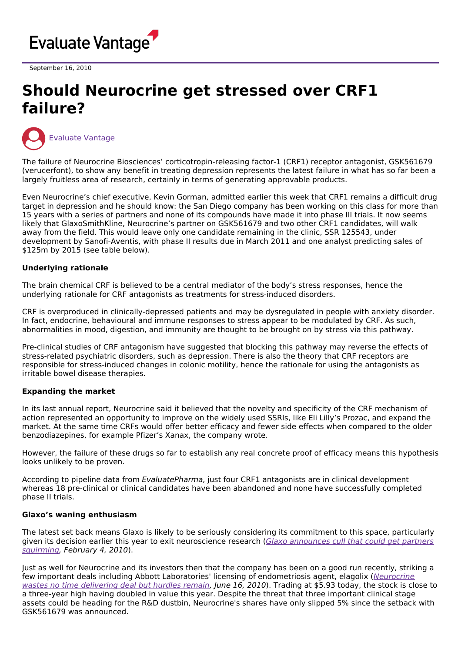

September 16, 2010

# **Should Neurocrine get stressed over CRF1 failure?**



The failure of Neurocrine Biosciences' corticotropin-releasing factor-1 (CRF1) receptor antagonist, GSK561679 (verucerfont), to show any benefit in treating depression represents the latest failure in what has so far been a largely fruitless area of research, certainly in terms of generating approvable products.

Even Neurocrine's chief executive, Kevin Gorman, admitted earlier this week that CRF1 remains a difficult drug target in depression and he should know: the San Diego company has been working on this class for more than 15 years with a series of partners and none of its compounds have made it into phase III trials. It now seems likely that GlaxoSmithKline, Neurocrine's partner on GSK561679 and two other CRF1 candidates, will walk away from the field. This would leave only one candidate remaining in the clinic, SSR 125543, under development by Sanofi-Aventis, with phase II results due in March 2011 and one analyst predicting sales of \$125m by 2015 (see table below).

## **Underlying rationale**

The brain chemical CRF is believed to be a central mediator of the body's stress responses, hence the underlying rationale for CRF antagonists as treatments for stress-induced disorders.

CRF is overproduced in clinically-depressed patients and may be dysregulated in people with anxiety disorder. In fact, endocrine, behavioural and immune responses to stress appear to be modulated by CRF. As such, abnormalities in mood, digestion, and immunity are thought to be brought on by stress via this pathway.

Pre-clinical studies of CRF antagonism have suggested that blocking this pathway may reverse the effects of stress-related psychiatric disorders, such as depression. There is also the theory that CRF receptors are responsible for stress-induced changes in colonic motility, hence the rationale for using the antagonists as irritable bowel disease therapies.

## **Expanding the market**

In its last annual report, Neurocrine said it believed that the novelty and specificity of the CRF mechanism of action represented an opportunity to improve on the widely used SSRIs, like Eli Lilly's Prozac, and expand the market. At the same time CRFs would offer better efficacy and fewer side effects when compared to the older benzodiazepines, for example Pfizer's Xanax, the company wrote.

However, the failure of these drugs so far to establish any real concrete proof of efficacy means this hypothesis looks unlikely to be proven.

According to pipeline data from EvaluatePharma, just four CRF1 antagonists are in clinical development whereas 18 pre-clinical or clinical candidates have been abandoned and none have successfully completed phase II trials.

#### **Glaxo's waning enthusiasm**

The latest set back means Glaxo is likely to be seriously considering its commitment to this space, particularly given its decision earlier this year to exit [neuroscience](http://www.epvantage.com/Universal/View.aspx?type=Story&id=205548&isEPVantage=yes) research (Glaxo announces cull that could get partners squirming, February 4, 2010).

Just as well for Neurocrine and its investors then that the company has been on a good run recently, striking a few important deals including Abbott Laboratories' licensing of [endometriosis](http://www.epvantage.com/Universal/View.aspx?type=Story&id=216440&isEPVantage=yes) agent, elagolix (Neurocrine wastes no time delivering deal but hurdles remain, June 16, 2010). Trading at \$5.93 today, the stock is close to a three-year high having doubled in value this year. Despite the threat that three important clinical stage assets could be heading for the R&D dustbin, Neurocrine's shares have only slipped 5% since the setback with GSK561679 was announced.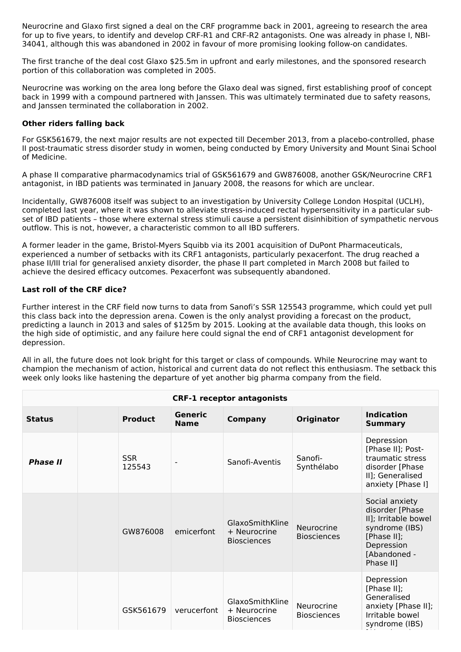Neurocrine and Glaxo first signed a deal on the CRF programme back in 2001, agreeing to research the area for up to five years, to identify and develop CRF-R1 and CRF-R2 antagonists. One was already in phase I, NBI-34041, although this was abandoned in 2002 in favour of more promising looking follow-on candidates.

The first tranche of the deal cost Glaxo \$25.5m in upfront and early milestones, and the sponsored research portion of this collaboration was completed in 2005.

Neurocrine was working on the area long before the Glaxo deal was signed, first establishing proof of concept back in 1999 with a compound partnered with Janssen. This was ultimately terminated due to safety reasons, and Janssen terminated the collaboration in 2002.

## **Other riders falling back**

For GSK561679, the next major results are not expected till December 2013, from a placebo-controlled, phase II post-traumatic stress disorder study in women, being conducted by Emory University and Mount Sinai School of Medicine.

A phase II comparative pharmacodynamics trial of GSK561679 and GW876008, another GSK/Neurocrine CRF1 antagonist, in IBD patients was terminated in January 2008, the reasons for which are unclear.

Incidentally, GW876008 itself was subject to an investigation by University College London Hospital (UCLH), completed last year, where it was shown to alleviate stress-induced rectal hypersensitivity in a particular subset of IBD patients – those where external stress stimuli cause a persistent disinhibition of sympathetic nervous outflow. This is not, however, a characteristic common to all IBD sufferers.

A former leader in the game, Bristol-Myers Squibb via its 2001 acquisition of DuPont Pharmaceuticals, experienced a number of setbacks with its CRF1 antagonists, particularly pexacerfont. The drug reached a phase II/III trial for generalised anxiety disorder, the phase II part completed in March 2008 but failed to achieve the desired efficacy outcomes. Pexacerfont was subsequently abandoned.

## **Last roll of the CRF dice?**

Further interest in the CRF field now turns to data from Sanofi's SSR 125543 programme, which could yet pull this class back into the depression arena. Cowen is the only analyst providing a forecast on the product, predicting a launch in 2013 and sales of \$125m by 2015. Looking at the available data though, this looks on the high side of optimistic, and any failure here could signal the end of CRF1 antagonist development for depression.

All in all, the future does not look bright for this target or class of compounds. While Neurocrine may want to champion the mechanism of action, historical and current data do not reflect this enthusiasm. The setback this week only looks like hastening the departure of yet another big pharma company from the field.

| <b>CRF-1 receptor antagonists</b> |  |                      |                        |                                                       |                                  |                                                                                                                                       |  |  |  |
|-----------------------------------|--|----------------------|------------------------|-------------------------------------------------------|----------------------------------|---------------------------------------------------------------------------------------------------------------------------------------|--|--|--|
| <b>Status</b>                     |  | <b>Product</b>       | Generic<br><b>Name</b> | <b>Company</b>                                        | <b>Originator</b>                | <b>Indication</b><br><b>Summary</b>                                                                                                   |  |  |  |
| <b>Phase II</b>                   |  | <b>SSR</b><br>125543 |                        | Sanofi-Aventis                                        | Sanofi-<br>Synthélabo            | Depression<br>[Phase II]; Post-<br>traumatic stress<br>disorder [Phase<br>II]; Generalised<br>anxiety [Phase I]                       |  |  |  |
|                                   |  | GW876008             | emicerfont             | GlaxoSmithKline<br>+ Neurocrine<br><b>Biosciences</b> | Neurocrine<br><b>Biosciences</b> | Social anxiety<br>disorder [Phase<br>II]; Irritable bowel<br>syndrome (IBS)<br>[Phase II];<br>Depression<br>[Abandoned -<br>Phase II] |  |  |  |
|                                   |  | GSK561679            | verucerfont            | GlaxoSmithKline<br>+ Neurocrine<br><b>Biosciences</b> | Neurocrine<br><b>Biosciences</b> | Depression<br>[Phase II];<br>Generalised<br>anxiety [Phase II];<br>Irritable bowel<br>syndrome (IBS)                                  |  |  |  |

[Abandoned -